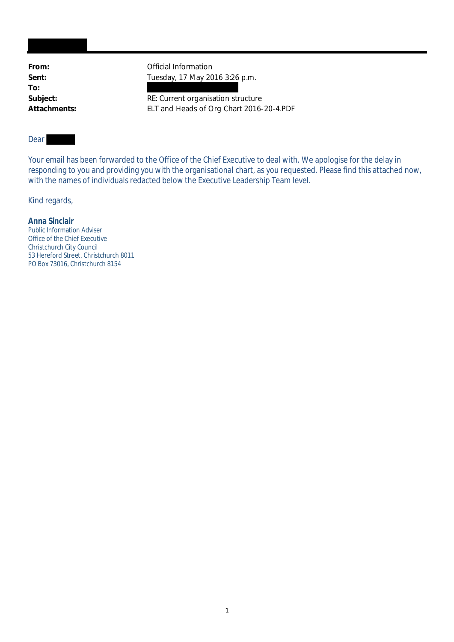**To:**

From: **From:** Official Information Sent: **Tuesday, 17 May 2016 3:26 p.m.** 

Subject: Subject: RE: Current organisation structure **Attachments:** ELT and Heads of Org Chart 2016-20-4.PDF

## Dear

Your email has been forwarded to the Office of the Chief Executive to deal with. We apologise for the delay in responding to you and providing you with the organisational chart, as you requested. Please find this attached now, with the names of individuals redacted below the Executive Leadership Team level.

Kind regards,

**Anna Sinclair** Public Information Adviser Office of the Chief Executive Christchurch City Council 53 Hereford Street, Christchurch 8011 PO Box 73016, Christchurch 8154